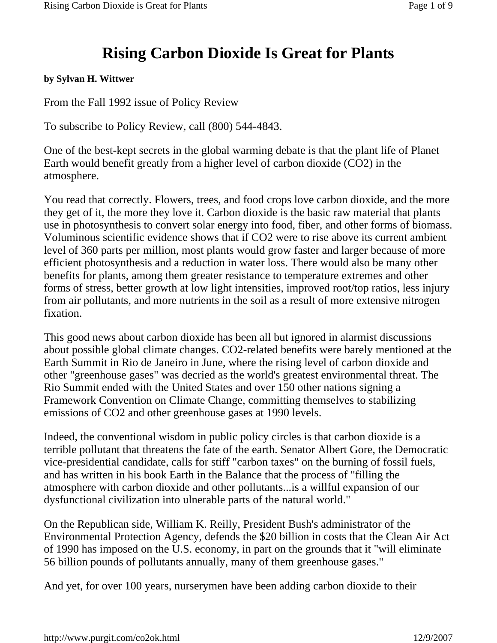# **Rising Carbon Dioxide Is Great for Plants**

**by Sylvan H. Wittwer** 

From the Fall 1992 issue of Policy Review

To subscribe to Policy Review, call (800) 544-4843.

One of the best-kept secrets in the global warming debate is that the plant life of Planet Earth would benefit greatly from a higher level of carbon dioxide (CO2) in the atmosphere.

You read that correctly. Flowers, trees, and food crops love carbon dioxide, and the more they get of it, the more they love it. Carbon dioxide is the basic raw material that plants use in photosynthesis to convert solar energy into food, fiber, and other forms of biomass. Voluminous scientific evidence shows that if CO2 were to rise above its current ambient level of 360 parts per million, most plants would grow faster and larger because of more efficient photosynthesis and a reduction in water loss. There would also be many other benefits for plants, among them greater resistance to temperature extremes and other forms of stress, better growth at low light intensities, improved root/top ratios, less injury from air pollutants, and more nutrients in the soil as a result of more extensive nitrogen fixation.

This good news about carbon dioxide has been all but ignored in alarmist discussions about possible global climate changes. CO2-related benefits were barely mentioned at the Earth Summit in Rio de Janeiro in June, where the rising level of carbon dioxide and other "greenhouse gases" was decried as the world's greatest environmental threat. The Rio Summit ended with the United States and over 150 other nations signing a Framework Convention on Climate Change, committing themselves to stabilizing emissions of CO2 and other greenhouse gases at 1990 levels.

Indeed, the conventional wisdom in public policy circles is that carbon dioxide is a terrible pollutant that threatens the fate of the earth. Senator Albert Gore, the Democratic vice-presidential candidate, calls for stiff "carbon taxes" on the burning of fossil fuels, and has written in his book Earth in the Balance that the process of "filling the atmosphere with carbon dioxide and other pollutants...is a willful expansion of our dysfunctional civilization into ulnerable parts of the natural world."

On the Republican side, William K. Reilly, President Bush's administrator of the Environmental Protection Agency, defends the \$20 billion in costs that the Clean Air Act of 1990 has imposed on the U.S. economy, in part on the grounds that it "will eliminate 56 billion pounds of pollutants annually, many of them greenhouse gases."

And yet, for over 100 years, nurserymen have been adding carbon dioxide to their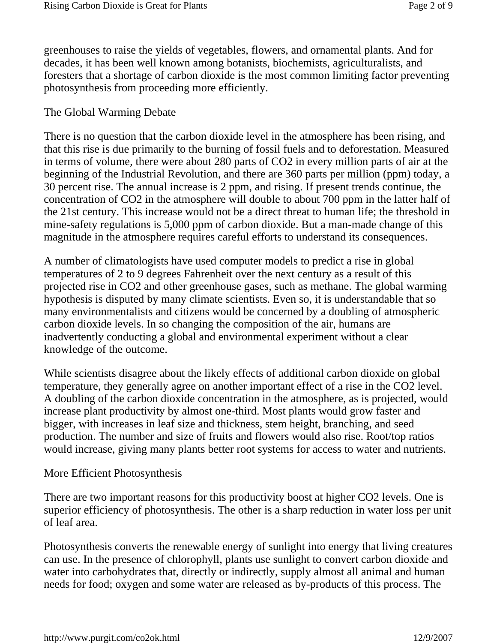greenhouses to raise the yields of vegetables, flowers, and ornamental plants. And for decades, it has been well known among botanists, biochemists, agriculturalists, and foresters that a shortage of carbon dioxide is the most common limiting factor preventing photosynthesis from proceeding more efficiently.

# The Global Warming Debate

There is no question that the carbon dioxide level in the atmosphere has been rising, and that this rise is due primarily to the burning of fossil fuels and to deforestation. Measured in terms of volume, there were about 280 parts of CO2 in every million parts of air at the beginning of the Industrial Revolution, and there are 360 parts per million (ppm) today, a 30 percent rise. The annual increase is 2 ppm, and rising. If present trends continue, the concentration of CO2 in the atmosphere will double to about 700 ppm in the latter half of the 21st century. This increase would not be a direct threat to human life; the threshold in mine-safety regulations is 5,000 ppm of carbon dioxide. But a man-made change of this magnitude in the atmosphere requires careful efforts to understand its consequences.

A number of climatologists have used computer models to predict a rise in global temperatures of 2 to 9 degrees Fahrenheit over the next century as a result of this projected rise in CO2 and other greenhouse gases, such as methane. The global warming hypothesis is disputed by many climate scientists. Even so, it is understandable that so many environmentalists and citizens would be concerned by a doubling of atmospheric carbon dioxide levels. In so changing the composition of the air, humans are inadvertently conducting a global and environmental experiment without a clear knowledge of the outcome.

While scientists disagree about the likely effects of additional carbon dioxide on global temperature, they generally agree on another important effect of a rise in the CO2 level. A doubling of the carbon dioxide concentration in the atmosphere, as is projected, would increase plant productivity by almost one-third. Most plants would grow faster and bigger, with increases in leaf size and thickness, stem height, branching, and seed production. The number and size of fruits and flowers would also rise. Root/top ratios would increase, giving many plants better root systems for access to water and nutrients.

## More Efficient Photosynthesis

There are two important reasons for this productivity boost at higher CO2 levels. One is superior efficiency of photosynthesis. The other is a sharp reduction in water loss per unit of leaf area.

Photosynthesis converts the renewable energy of sunlight into energy that living creatures can use. In the presence of chlorophyll, plants use sunlight to convert carbon dioxide and water into carbohydrates that, directly or indirectly, supply almost all animal and human needs for food; oxygen and some water are released as by-products of this process. The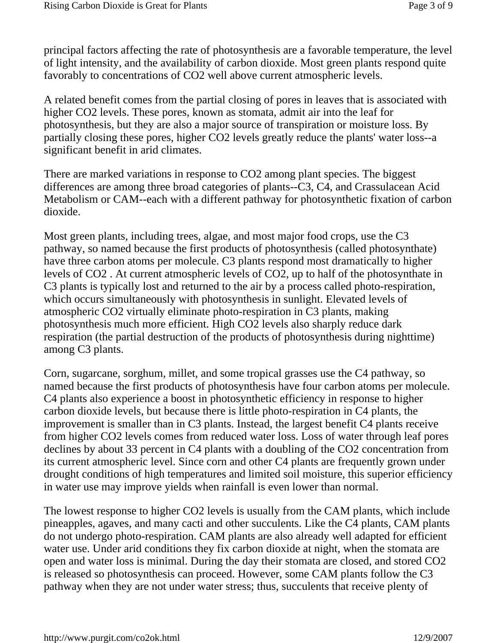principal factors affecting the rate of photosynthesis are a favorable temperature, the level of light intensity, and the availability of carbon dioxide. Most green plants respond quite favorably to concentrations of CO2 well above current atmospheric levels.

A related benefit comes from the partial closing of pores in leaves that is associated with higher CO2 levels. These pores, known as stomata, admit air into the leaf for photosynthesis, but they are also a major source of transpiration or moisture loss. By partially closing these pores, higher CO2 levels greatly reduce the plants' water loss--a significant benefit in arid climates.

There are marked variations in response to CO2 among plant species. The biggest differences are among three broad categories of plants--C3, C4, and Crassulacean Acid Metabolism or CAM--each with a different pathway for photosynthetic fixation of carbon dioxide.

Most green plants, including trees, algae, and most major food crops, use the C3 pathway, so named because the first products of photosynthesis (called photosynthate) have three carbon atoms per molecule. C3 plants respond most dramatically to higher levels of CO2 . At current atmospheric levels of CO2, up to half of the photosynthate in C3 plants is typically lost and returned to the air by a process called photo-respiration, which occurs simultaneously with photosynthesis in sunlight. Elevated levels of atmospheric CO2 virtually eliminate photo-respiration in C3 plants, making photosynthesis much more efficient. High CO2 levels also sharply reduce dark respiration (the partial destruction of the products of photosynthesis during nighttime) among C3 plants.

Corn, sugarcane, sorghum, millet, and some tropical grasses use the C4 pathway, so named because the first products of photosynthesis have four carbon atoms per molecule. C4 plants also experience a boost in photosynthetic efficiency in response to higher carbon dioxide levels, but because there is little photo-respiration in C4 plants, the improvement is smaller than in C3 plants. Instead, the largest benefit C4 plants receive from higher CO2 levels comes from reduced water loss. Loss of water through leaf pores declines by about 33 percent in C4 plants with a doubling of the CO2 concentration from its current atmospheric level. Since corn and other C4 plants are frequently grown under drought conditions of high temperatures and limited soil moisture, this superior efficiency in water use may improve yields when rainfall is even lower than normal.

The lowest response to higher CO2 levels is usually from the CAM plants, which include pineapples, agaves, and many cacti and other succulents. Like the C4 plants, CAM plants do not undergo photo-respiration. CAM plants are also already well adapted for efficient water use. Under arid conditions they fix carbon dioxide at night, when the stomata are open and water loss is minimal. During the day their stomata are closed, and stored CO2 is released so photosynthesis can proceed. However, some CAM plants follow the C3 pathway when they are not under water stress; thus, succulents that receive plenty of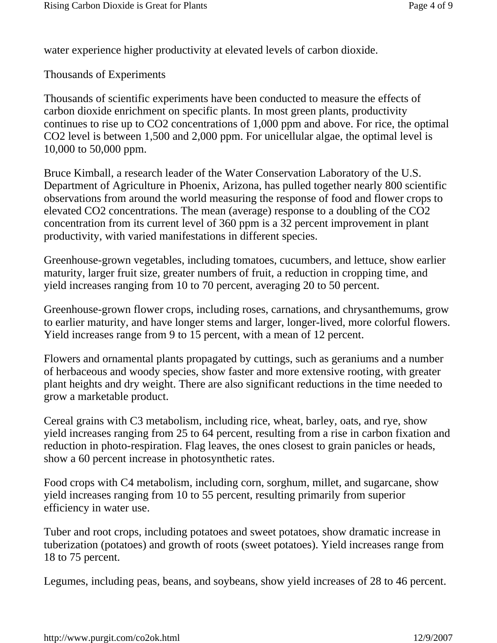water experience higher productivity at elevated levels of carbon dioxide.

Thousands of Experiments

Thousands of scientific experiments have been conducted to measure the effects of carbon dioxide enrichment on specific plants. In most green plants, productivity continues to rise up to CO2 concentrations of 1,000 ppm and above. For rice, the optimal CO2 level is between 1,500 and 2,000 ppm. For unicellular algae, the optimal level is 10,000 to 50,000 ppm.

Bruce Kimball, a research leader of the Water Conservation Laboratory of the U.S. Department of Agriculture in Phoenix, Arizona, has pulled together nearly 800 scientific observations from around the world measuring the response of food and flower crops to elevated CO2 concentrations. The mean (average) response to a doubling of the CO2 concentration from its current level of 360 ppm is a 32 percent improvement in plant productivity, with varied manifestations in different species.

Greenhouse-grown vegetables, including tomatoes, cucumbers, and lettuce, show earlier maturity, larger fruit size, greater numbers of fruit, a reduction in cropping time, and yield increases ranging from 10 to 70 percent, averaging 20 to 50 percent.

Greenhouse-grown flower crops, including roses, carnations, and chrysanthemums, grow to earlier maturity, and have longer stems and larger, longer-lived, more colorful flowers. Yield increases range from 9 to 15 percent, with a mean of 12 percent.

Flowers and ornamental plants propagated by cuttings, such as geraniums and a number of herbaceous and woody species, show faster and more extensive rooting, with greater plant heights and dry weight. There are also significant reductions in the time needed to grow a marketable product.

Cereal grains with C3 metabolism, including rice, wheat, barley, oats, and rye, show yield increases ranging from 25 to 64 percent, resulting from a rise in carbon fixation and reduction in photo-respiration. Flag leaves, the ones closest to grain panicles or heads, show a 60 percent increase in photosynthetic rates.

Food crops with C4 metabolism, including corn, sorghum, millet, and sugarcane, show yield increases ranging from 10 to 55 percent, resulting primarily from superior efficiency in water use.

Tuber and root crops, including potatoes and sweet potatoes, show dramatic increase in tuberization (potatoes) and growth of roots (sweet potatoes). Yield increases range from 18 to 75 percent.

Legumes, including peas, beans, and soybeans, show yield increases of 28 to 46 percent.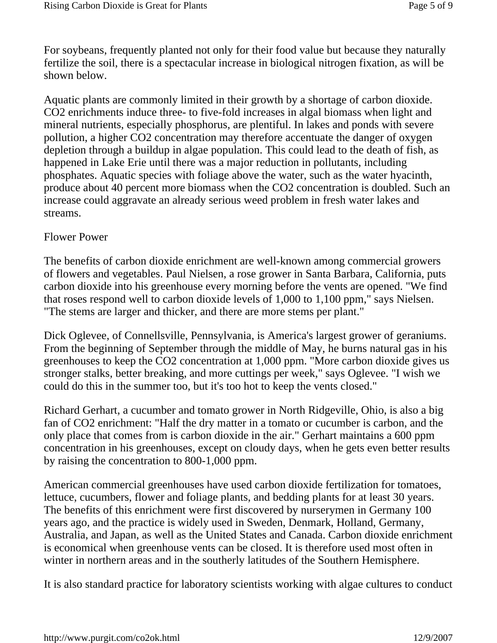For soybeans, frequently planted not only for their food value but because they naturally fertilize the soil, there is a spectacular increase in biological nitrogen fixation, as will be shown below.

Aquatic plants are commonly limited in their growth by a shortage of carbon dioxide. CO2 enrichments induce three- to five-fold increases in algal biomass when light and mineral nutrients, especially phosphorus, are plentiful. In lakes and ponds with severe pollution, a higher CO2 concentration may therefore accentuate the danger of oxygen depletion through a buildup in algae population. This could lead to the death of fish, as happened in Lake Erie until there was a major reduction in pollutants, including phosphates. Aquatic species with foliage above the water, such as the water hyacinth, produce about 40 percent more biomass when the CO2 concentration is doubled. Such an increase could aggravate an already serious weed problem in fresh water lakes and streams.

#### Flower Power

The benefits of carbon dioxide enrichment are well-known among commercial growers of flowers and vegetables. Paul Nielsen, a rose grower in Santa Barbara, California, puts carbon dioxide into his greenhouse every morning before the vents are opened. "We find that roses respond well to carbon dioxide levels of 1,000 to 1,100 ppm," says Nielsen. "The stems are larger and thicker, and there are more stems per plant."

Dick Oglevee, of Connellsville, Pennsylvania, is America's largest grower of geraniums. From the beginning of September through the middle of May, he burns natural gas in his greenhouses to keep the CO2 concentration at 1,000 ppm. "More carbon dioxide gives us stronger stalks, better breaking, and more cuttings per week," says Oglevee. "I wish we could do this in the summer too, but it's too hot to keep the vents closed."

Richard Gerhart, a cucumber and tomato grower in North Ridgeville, Ohio, is also a big fan of CO2 enrichment: "Half the dry matter in a tomato or cucumber is carbon, and the only place that comes from is carbon dioxide in the air." Gerhart maintains a 600 ppm concentration in his greenhouses, except on cloudy days, when he gets even better results by raising the concentration to 800-1,000 ppm.

American commercial greenhouses have used carbon dioxide fertilization for tomatoes, lettuce, cucumbers, flower and foliage plants, and bedding plants for at least 30 years. The benefits of this enrichment were first discovered by nurserymen in Germany 100 years ago, and the practice is widely used in Sweden, Denmark, Holland, Germany, Australia, and Japan, as well as the United States and Canada. Carbon dioxide enrichment is economical when greenhouse vents can be closed. It is therefore used most often in winter in northern areas and in the southerly latitudes of the Southern Hemisphere.

It is also standard practice for laboratory scientists working with algae cultures to conduct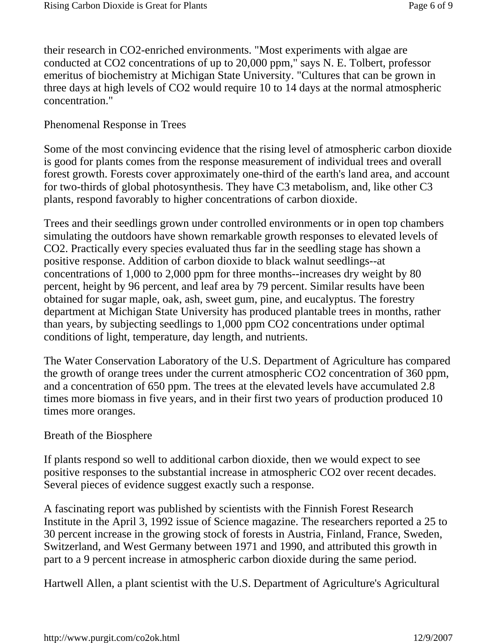their research in CO2-enriched environments. "Most experiments with algae are conducted at CO2 concentrations of up to 20,000 ppm," says N. E. Tolbert, professor emeritus of biochemistry at Michigan State University. "Cultures that can be grown in three days at high levels of CO2 would require 10 to 14 days at the normal atmospheric concentration."

Phenomenal Response in Trees

Some of the most convincing evidence that the rising level of atmospheric carbon dioxide is good for plants comes from the response measurement of individual trees and overall forest growth. Forests cover approximately one-third of the earth's land area, and account for two-thirds of global photosynthesis. They have C3 metabolism, and, like other C3 plants, respond favorably to higher concentrations of carbon dioxide.

Trees and their seedlings grown under controlled environments or in open top chambers simulating the outdoors have shown remarkable growth responses to elevated levels of CO2. Practically every species evaluated thus far in the seedling stage has shown a positive response. Addition of carbon dioxide to black walnut seedlings--at concentrations of 1,000 to 2,000 ppm for three months--increases dry weight by 80 percent, height by 96 percent, and leaf area by 79 percent. Similar results have been obtained for sugar maple, oak, ash, sweet gum, pine, and eucalyptus. The forestry department at Michigan State University has produced plantable trees in months, rather than years, by subjecting seedlings to 1,000 ppm CO2 concentrations under optimal conditions of light, temperature, day length, and nutrients.

The Water Conservation Laboratory of the U.S. Department of Agriculture has compared the growth of orange trees under the current atmospheric CO2 concentration of 360 ppm, and a concentration of 650 ppm. The trees at the elevated levels have accumulated 2.8 times more biomass in five years, and in their first two years of production produced 10 times more oranges.

# Breath of the Biosphere

If plants respond so well to additional carbon dioxide, then we would expect to see positive responses to the substantial increase in atmospheric CO2 over recent decades. Several pieces of evidence suggest exactly such a response.

A fascinating report was published by scientists with the Finnish Forest Research Institute in the April 3, 1992 issue of Science magazine. The researchers reported a 25 to 30 percent increase in the growing stock of forests in Austria, Finland, France, Sweden, Switzerland, and West Germany between 1971 and 1990, and attributed this growth in part to a 9 percent increase in atmospheric carbon dioxide during the same period.

Hartwell Allen, a plant scientist with the U.S. Department of Agriculture's Agricultural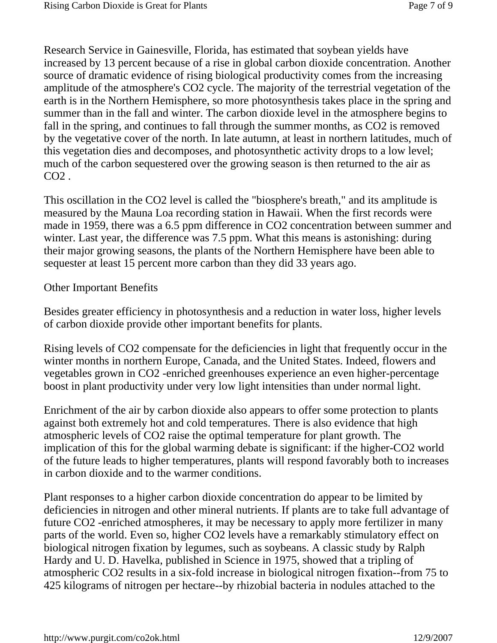Research Service in Gainesville, Florida, has estimated that soybean yields have increased by 13 percent because of a rise in global carbon dioxide concentration. Another source of dramatic evidence of rising biological productivity comes from the increasing amplitude of the atmosphere's CO2 cycle. The majority of the terrestrial vegetation of the earth is in the Northern Hemisphere, so more photosynthesis takes place in the spring and summer than in the fall and winter. The carbon dioxide level in the atmosphere begins to fall in the spring, and continues to fall through the summer months, as CO2 is removed by the vegetative cover of the north. In late autumn, at least in northern latitudes, much of this vegetation dies and decomposes, and photosynthetic activity drops to a low level; much of the carbon sequestered over the growing season is then returned to the air as  $CO2$ .

This oscillation in the CO2 level is called the "biosphere's breath," and its amplitude is measured by the Mauna Loa recording station in Hawaii. When the first records were made in 1959, there was a 6.5 ppm difference in CO2 concentration between summer and winter. Last year, the difference was 7.5 ppm. What this means is astonishing: during their major growing seasons, the plants of the Northern Hemisphere have been able to sequester at least 15 percent more carbon than they did 33 years ago.

## Other Important Benefits

Besides greater efficiency in photosynthesis and a reduction in water loss, higher levels of carbon dioxide provide other important benefits for plants.

Rising levels of CO2 compensate for the deficiencies in light that frequently occur in the winter months in northern Europe, Canada, and the United States. Indeed, flowers and vegetables grown in CO2 -enriched greenhouses experience an even higher-percentage boost in plant productivity under very low light intensities than under normal light.

Enrichment of the air by carbon dioxide also appears to offer some protection to plants against both extremely hot and cold temperatures. There is also evidence that high atmospheric levels of CO2 raise the optimal temperature for plant growth. The implication of this for the global warming debate is significant: if the higher-CO2 world of the future leads to higher temperatures, plants will respond favorably both to increases in carbon dioxide and to the warmer conditions.

Plant responses to a higher carbon dioxide concentration do appear to be limited by deficiencies in nitrogen and other mineral nutrients. If plants are to take full advantage of future CO2 -enriched atmospheres, it may be necessary to apply more fertilizer in many parts of the world. Even so, higher CO2 levels have a remarkably stimulatory effect on biological nitrogen fixation by legumes, such as soybeans. A classic study by Ralph Hardy and U. D. Havelka, published in Science in 1975, showed that a tripling of atmospheric CO2 results in a six-fold increase in biological nitrogen fixation--from 75 to 425 kilograms of nitrogen per hectare--by rhizobial bacteria in nodules attached to the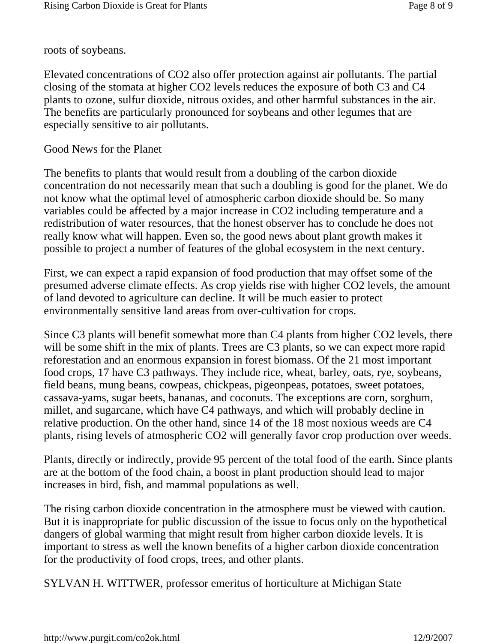roots of soybeans.

Elevated concentrations of CO2 also offer protection against air pollutants. The partial closing of the stomata at higher CO2 levels reduces the exposure of both C3 and C4 plants to ozone, sulfur dioxide, nitrous oxides, and other harmful substances in the air. The benefits are particularly pronounced for soybeans and other legumes that are especially sensitive to air pollutants.

#### Good News for the Planet

The benefits to plants that would result from a doubling of the carbon dioxide concentration do not necessarily mean that such a doubling is good for the planet. We do not know what the optimal level of atmospheric carbon dioxide should be. So many variables could be affected by a major increase in CO2 including temperature and a redistribution of water resources, that the honest observer has to conclude he does not really know what will happen. Even so, the good news about plant growth makes it possible to project a number of features of the global ecosystem in the next century.

First, we can expect a rapid expansion of food production that may offset some of the presumed adverse climate effects. As crop yields rise with higher CO2 levels, the amount of land devoted to agriculture can decline. It will be much easier to protect environmentally sensitive land areas from over-cultivation for crops.

Since C3 plants will benefit somewhat more than C4 plants from higher CO2 levels, there will be some shift in the mix of plants. Trees are C3 plants, so we can expect more rapid reforestation and an enormous expansion in forest biomass. Of the 21 most important food crops, 17 have C3 pathways. They include rice, wheat, barley, oats, rye, soybeans, field beans, mung beans, cowpeas, chickpeas, pigeonpeas, potatoes, sweet potatoes, cassava-yams, sugar beets, bananas, and coconuts. The exceptions are corn, sorghum, millet, and sugarcane, which have C4 pathways, and which will probably decline in relative production. On the other hand, since 14 of the 18 most noxious weeds are C4 plants, rising levels of atmospheric CO2 will generally favor crop production over weeds.

Plants, directly or indirectly, provide 95 percent of the total food of the earth. Since plants are at the bottom of the food chain, a boost in plant production should lead to major increases in bird, fish, and mammal populations as well.

The rising carbon dioxide concentration in the atmosphere must be viewed with caution. But it is inappropriate for public discussion of the issue to focus only on the hypothetical dangers of global warming that might result from higher carbon dioxide levels. It is important to stress as well the known benefits of a higher carbon dioxide concentration for the productivity of food crops, trees, and other plants.

SYLVAN H. WITTWER, professor emeritus of horticulture at Michigan State